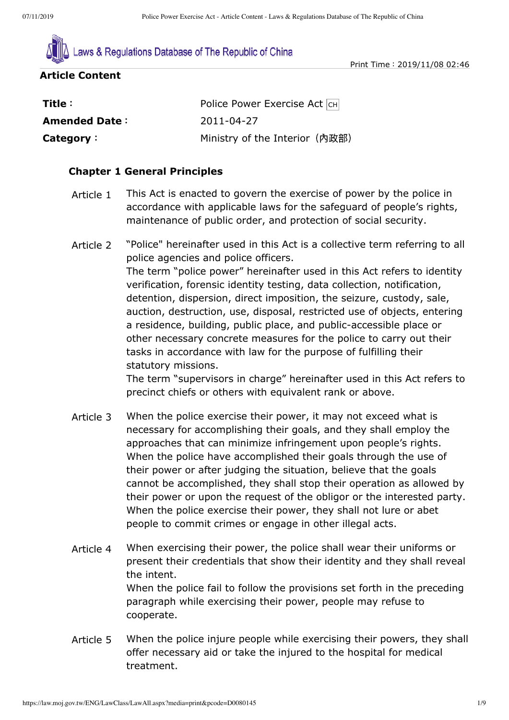

Print Time:2019/11/08 02:46

#### **Article Content**

| Title :              | Police Power Exercise Act CH   |
|----------------------|--------------------------------|
| <b>Amended Date:</b> | 2011-04-27                     |
| Category:            | Ministry of the Interior (內政部) |

## **Chapter 1 General Principles**

- Article 1 This Act is enacted to govern the exercise of power by the police in accordance with applicable laws for the safeguard of people's rights, maintenance of public order, and protection of social security.
- Article 2 "Police" hereinafter used in this Act is a collective term referring to all police agencies and police officers. The term "police power" hereinafter used in this Act refers to identity verification, forensic identity testing, data collection, notification, detention, dispersion, direct imposition, the seizure, custody, sale, auction, destruction, use, disposal, restricted use of objects, entering a residence, building, public place, and public-accessible place or other necessary concrete measures for the police to carry out their tasks in accordance with law for the purpose of fulfilling their statutory missions.

The term "supervisors in charge" hereinafter used in this Act refers to precinct chiefs or others with equivalent rank or above.

- Article 3 When the police exercise their power, it may not exceed what is necessary for accomplishing their goals, and they shall employ the approaches that can minimize infringement upon people's rights. When the police have accomplished their goals through the use of their power or after judging the situation, believe that the goals cannot be accomplished, they shall stop their operation as allowed by their power or upon the request of the obligor or the interested party. When the police exercise their power, they shall not lure or abet people to commit crimes or engage in other illegal acts.
- Article 4 When exercising their power, the police shall wear their uniforms or present their credentials that show their identity and they shall reveal the intent. When the police fail to follow the provisions set forth in the preceding paragraph while exercising their power, people may refuse to cooperate.
- Article 5 When the police injure people while exercising their powers, they shall offer necessary aid or take the injured to the hospital for medical treatment.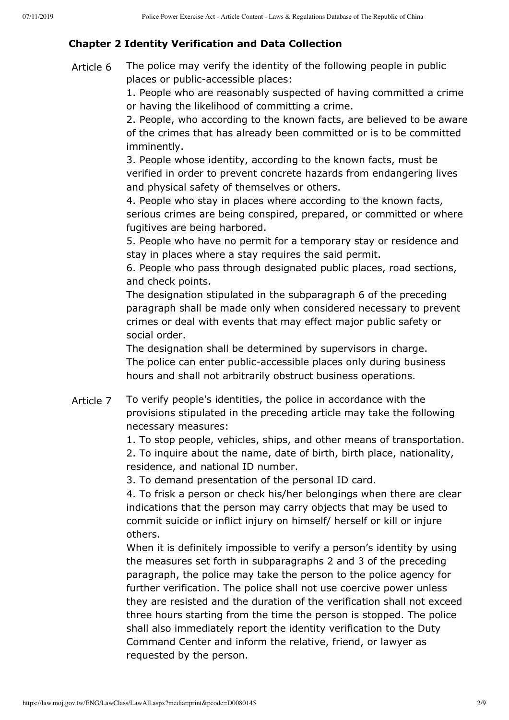# **Chapter 2 Identity Verification and Data Collection**

Article 6 The police may verify the identity of the following people in public places or public-accessible places:

> 1. People who are reasonably suspected of having committed a crime or having the likelihood of committing a crime.

> 2. People, who according to the known facts, are believed to be aware of the crimes that has already been committed or is to be committed imminently.

3. People whose identity, according to the known facts, must be verified in order to prevent concrete hazards from endangering lives and physical safety of themselves or others.

4. People who stay in places where according to the known facts, serious crimes are being conspired, prepared, or committed or where fugitives are being harbored.

5. People who have no permit for a temporary stay or residence and stay in places where a stay requires the said permit.

6. People who pass through designated public places, road sections, and check points.

The designation stipulated in the subparagraph 6 of the preceding paragraph shall be made only when considered necessary to prevent crimes or deal with events that may effect major public safety or social order.

The designation shall be determined by supervisors in charge. The police can enter public-accessible places only during business hours and shall not arbitrarily obstruct business operations.

Article 7 To verify people's identities, the police in accordance with the provisions stipulated in the preceding article may take the following necessary measures:

1. To stop people, vehicles, ships, and other means of transportation.

2. To inquire about the name, date of birth, birth place, nationality, residence, and national ID number.

3. To demand presentation of the personal ID card.

4. To frisk a person or check his/her belongings when there are clear indications that the person may carry objects that may be used to commit suicide or inflict injury on himself/ herself or kill or injure others.

When it is definitely impossible to verify a person's identity by using the measures set forth in subparagraphs 2 and 3 of the preceding paragraph, the police may take the person to the police agency for further verification. The police shall not use coercive power unless they are resisted and the duration of the verification shall not exceed three hours starting from the time the person is stopped. The police shall also immediately report the identity verification to the Duty Command Center and inform the relative, friend, or lawyer as requested by the person.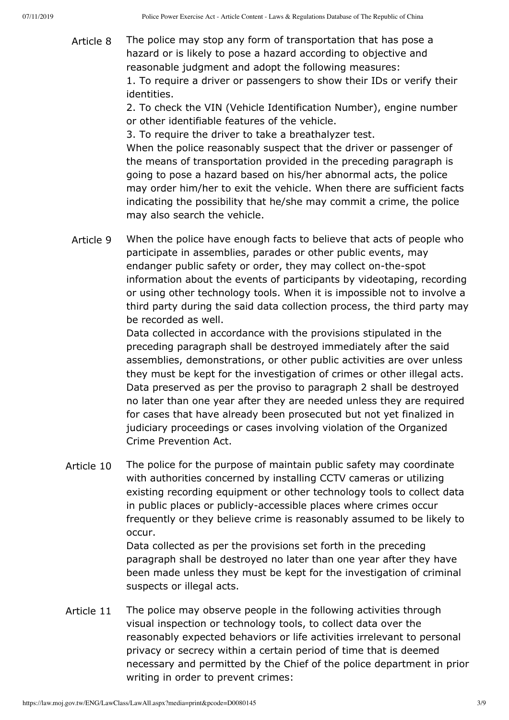Article 8 The police may stop any form of transportation that has pose a hazard or is likely to pose a hazard according to objective and reasonable judgment and adopt the following measures:

1. To require a driver or passengers to show their IDs or verify their identities.

2. To check the VIN (Vehicle Identification Number), engine number or other identifiable features of the vehicle.

3. To require the driver to take a breathalyzer test.

When the police reasonably suspect that the driver or passenger of the means of transportation provided in the preceding paragraph is going to pose a hazard based on his/her abnormal acts, the police may order him/her to exit the vehicle. When there are sufficient facts indicating the possibility that he/she may commit a crime, the police may also search the vehicle.

Article 9 When the police have enough facts to believe that acts of people who participate in assemblies, parades or other public events, may endanger public safety or order, they may collect on-the-spot information about the events of participants by videotaping, recording or using other technology tools. When it is impossible not to involve a third party during the said data collection process, the third party may be recorded as well.

> Data collected in accordance with the provisions stipulated in the preceding paragraph shall be destroyed immediately after the said assemblies, demonstrations, or other public activities are over unless they must be kept for the investigation of crimes or other illegal acts. Data preserved as per the proviso to paragraph 2 shall be destroyed no later than one year after they are needed unless they are required for cases that have already been prosecuted but not yet finalized in judiciary proceedings or cases involving violation of the Organized Crime Prevention Act.

Article 10 The police for the purpose of maintain public safety may coordinate with authorities concerned by installing CCTV cameras or utilizing existing recording equipment or other technology tools to collect data in public places or publicly-accessible places where crimes occur frequently or they believe crime is reasonably assumed to be likely to occur.

> Data collected as per the provisions set forth in the preceding paragraph shall be destroyed no later than one year after they have been made unless they must be kept for the investigation of criminal suspects or illegal acts.

Article 11 The police may observe people in the following activities through visual inspection or technology tools, to collect data over the reasonably expected behaviors or life activities irrelevant to personal privacy or secrecy within a certain period of time that is deemed necessary and permitted by the Chief of the police department in prior writing in order to prevent crimes: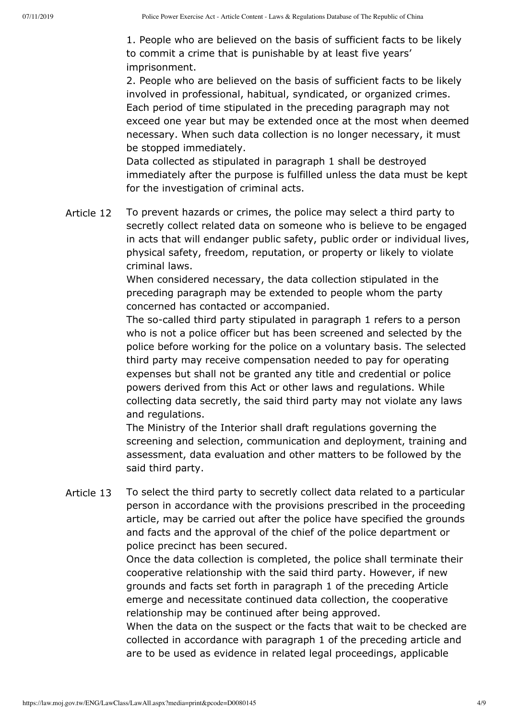1. People who are believed on the basis of sufficient facts to be likely to commit a crime that is punishable by at least five years' imprisonment.

2. People who are believed on the basis of sufficient facts to be likely involved in professional, habitual, syndicated, or organized crimes. Each period of time stipulated in the preceding paragraph may not exceed one year but may be extended once at the most when deemed necessary. When such data collection is no longer necessary, it must be stopped immediately.

Data collected as stipulated in paragraph 1 shall be destroyed immediately after the purpose is fulfilled unless the data must be kept for the investigation of criminal acts.

Article 12 To prevent hazards or crimes, the police may select a third party to secretly collect related data on someone who is believe to be engaged in acts that will endanger public safety, public order or individual lives, physical safety, freedom, reputation, or property or likely to violate criminal laws.

> When considered necessary, the data collection stipulated in the preceding paragraph may be extended to people whom the party concerned has contacted or accompanied.

The so-called third party stipulated in paragraph 1 refers to a person who is not a police officer but has been screened and selected by the police before working for the police on a voluntary basis. The selected third party may receive compensation needed to pay for operating expenses but shall not be granted any title and credential or police powers derived from this Act or other laws and regulations. While collecting data secretly, the said third party may not violate any laws and regulations.

The Ministry of the Interior shall draft regulations governing the screening and selection, communication and deployment, training and assessment, data evaluation and other matters to be followed by the said third party.

Article 13 To select the third party to secretly collect data related to a particular person in accordance with the provisions prescribed in the proceeding article, may be carried out after the police have specified the grounds and facts and the approval of the chief of the police department or police precinct has been secured.

> Once the data collection is completed, the police shall terminate their cooperative relationship with the said third party. However, if new grounds and facts set forth in paragraph 1 of the preceding Article emerge and necessitate continued data collection, the cooperative relationship may be continued after being approved.

> When the data on the suspect or the facts that wait to be checked are collected in accordance with paragraph 1 of the preceding article and are to be used as evidence in related legal proceedings, applicable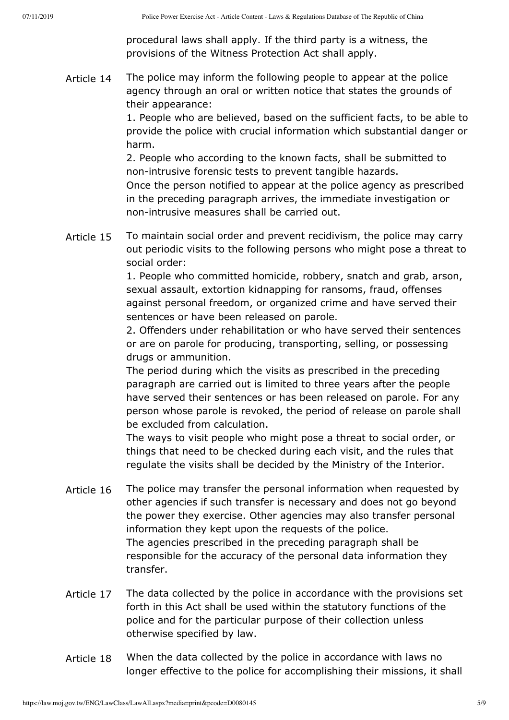procedural laws shall apply. If the third party is a witness, the provisions of the Witness Protection Act shall apply.

Article 14 The police may inform the following people to appear at the police agency through an oral or written notice that states the grounds of their appearance:

> 1. People who are believed, based on the sufficient facts, to be able to provide the police with crucial information which substantial danger or harm.

2. People who according to the known facts, shall be submitted to non-intrusive forensic tests to prevent tangible hazards. Once the person notified to appear at the police agency as prescribed in the preceding paragraph arrives, the immediate investigation or non-intrusive measures shall be carried out.

Article 15 To maintain social order and prevent recidivism, the police may carry out periodic visits to the following persons who might pose a threat to social order:

> 1. People who committed homicide, robbery, snatch and grab, arson, sexual assault, extortion kidnapping for ransoms, fraud, offenses against personal freedom, or organized crime and have served their sentences or have been released on parole.

> 2. Offenders under rehabilitation or who have served their sentences or are on parole for producing, transporting, selling, or possessing drugs or ammunition.

> The period during which the visits as prescribed in the preceding paragraph are carried out is limited to three years after the people have served their sentences or has been released on parole. For any person whose parole is revoked, the period of release on parole shall be excluded from calculation.

The ways to visit people who might pose a threat to social order, or things that need to be checked during each visit, and the rules that regulate the visits shall be decided by the Ministry of the Interior.

- Article 16 The police may transfer the personal information when requested by other agencies if such transfer is necessary and does not go beyond the power they exercise. Other agencies may also transfer personal information they kept upon the requests of the police. The agencies prescribed in the preceding paragraph shall be responsible for the accuracy of the personal data information they transfer.
- Article 17 The data collected by the police in accordance with the provisions set forth in this Act shall be used within the statutory functions of the police and for the particular purpose of their collection unless otherwise specified by law.
- Article 18 When the data collected by the police in accordance with laws no longer effective to the police for accomplishing their missions, it shall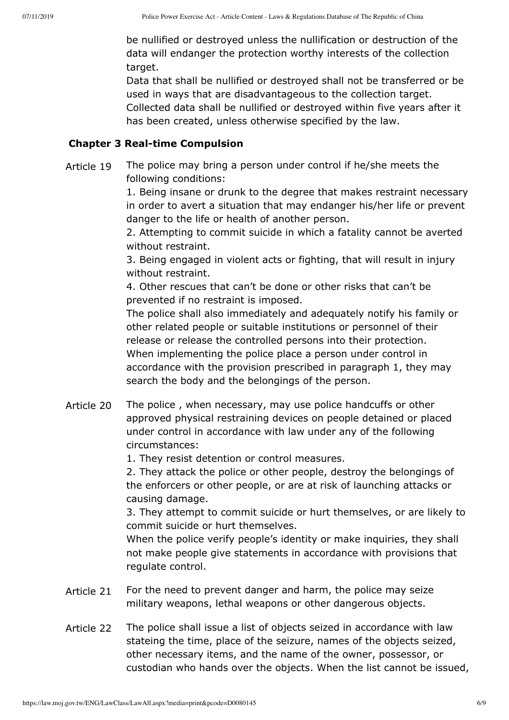be nullified or destroyed unless the nullification or destruction of the data will endanger the protection worthy interests of the collection target.

Data that shall be nullified or destroyed shall not be transferred or be used in ways that are disadvantageous to the collection target. Collected data shall be nullified or destroyed within five years after it has been created, unless otherwise specified by the law.

#### **Chapter 3 Real-time Compulsion**

Article 19 The police may bring a person under control if he/she meets the following conditions:

> 1. Being insane or drunk to the degree that makes restraint necessary in order to avert a situation that may endanger his/her life or prevent danger to the life or health of another person.

2. Attempting to commit suicide in which a fatality cannot be averted without restraint.

3. Being engaged in violent acts or fighting, that will result in injury without restraint.

4. Other rescues that can't be done or other risks that can't be prevented if no restraint is imposed.

The police shall also immediately and adequately notify his family or other related people or suitable institutions or personnel of their release or release the controlled persons into their protection. When implementing the police place a person under control in accordance with the provision prescribed in paragraph 1, they may search the body and the belongings of the person.

Article 20 The police , when necessary, may use police handcuffs or other approved physical restraining devices on people detained or placed under control in accordance with law under any of the following circumstances:

1. They resist detention or control measures.

2. They attack the police or other people, destroy the belongings of the enforcers or other people, or are at risk of launching attacks or causing damage.

3. They attempt to commit suicide or hurt themselves, or are likely to commit suicide or hurt themselves.

When the police verify people's identity or make inquiries, they shall not make people give statements in accordance with provisions that regulate control.

- Article 21 For the need to prevent danger and harm, the police may seize military weapons, lethal weapons or other dangerous objects.
- Article 22 The police shall issue a list of objects seized in accordance with law stateing the time, place of the seizure, names of the objects seized, other necessary items, and the name of the owner, possessor, or custodian who hands over the objects. When the list cannot be issued,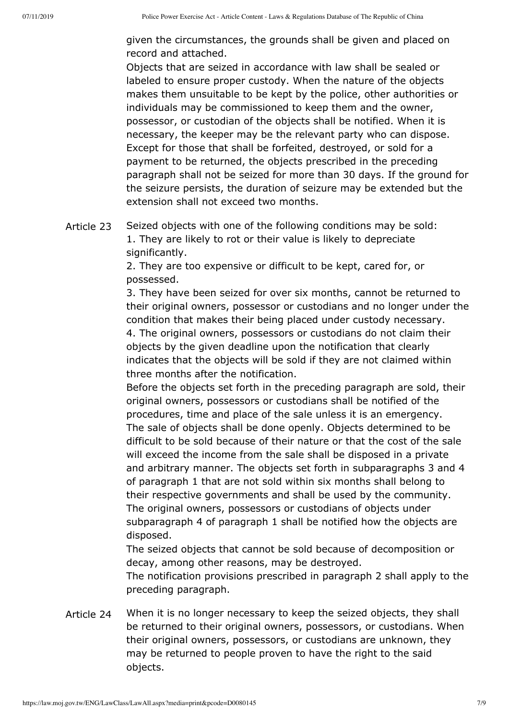given the circumstances, the grounds shall be given and placed on record and attached.

Objects that are seized in accordance with law shall be sealed or labeled to ensure proper custody. When the nature of the objects makes them unsuitable to be kept by the police, other authorities or individuals may be commissioned to keep them and the owner, possessor, or custodian of the objects shall be notified. When it is necessary, the keeper may be the relevant party who can dispose. Except for those that shall be forfeited, destroyed, or sold for a payment to be returned, the objects prescribed in the preceding paragraph shall not be seized for more than 30 days. If the ground for the seizure persists, the duration of seizure may be extended but the extension shall not exceed two months.

Article 23 Seized objects with one of the following conditions may be sold: 1. They are likely to rot or their value is likely to depreciate significantly.

> 2. They are too expensive or difficult to be kept, cared for, or possessed.

3. They have been seized for over six months, cannot be returned to their original owners, possessor or custodians and no longer under the condition that makes their being placed under custody necessary. 4. The original owners, possessors or custodians do not claim their objects by the given deadline upon the notification that clearly

indicates that the objects will be sold if they are not claimed within three months after the notification.

Before the objects set forth in the preceding paragraph are sold, their original owners, possessors or custodians shall be notified of the procedures, time and place of the sale unless it is an emergency. The sale of objects shall be done openly. Objects determined to be difficult to be sold because of their nature or that the cost of the sale will exceed the income from the sale shall be disposed in a private and arbitrary manner. The objects set forth in subparagraphs 3 and 4 of paragraph 1 that are not sold within six months shall belong to their respective governments and shall be used by the community. The original owners, possessors or custodians of objects under subparagraph 4 of paragraph 1 shall be notified how the objects are disposed.

The seized objects that cannot be sold because of decomposition or decay, among other reasons, may be destroyed.

The notification provisions prescribed in paragraph 2 shall apply to the preceding paragraph.

Article 24 When it is no longer necessary to keep the seized objects, they shall be returned to their original owners, possessors, or custodians. When their original owners, possessors, or custodians are unknown, they may be returned to people proven to have the right to the said objects.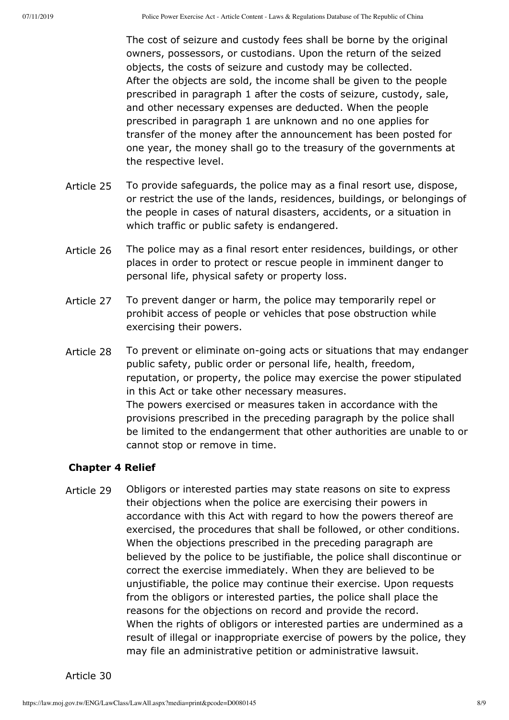The cost of seizure and custody fees shall be borne by the original owners, possessors, or custodians. Upon the return of the seized objects, the costs of seizure and custody may be collected. After the objects are sold, the income shall be given to the people prescribed in paragraph 1 after the costs of seizure, custody, sale, and other necessary expenses are deducted. When the people prescribed in paragraph 1 are unknown and no one applies for transfer of the money after the announcement has been posted for one year, the money shall go to the treasury of the governments at the respective level.

- Article 25 To provide safeguards, the police may as a final resort use, dispose, or restrict the use of the lands, residences, buildings, or belongings of the people in cases of natural disasters, accidents, or a situation in which traffic or public safety is endangered.
- Article 26 The police may as a final resort enter residences, buildings, or other places in order to protect or rescue people in imminent danger to personal life, physical safety or property loss.
- Article 27 To prevent danger or harm, the police may temporarily repel or prohibit access of people or vehicles that pose obstruction while exercising their powers.
- Article 28 To prevent or eliminate on-going acts or situations that may endanger public safety, public order or personal life, health, freedom, reputation, or property, the police may exercise the power stipulated in this Act or take other necessary measures. The powers exercised or measures taken in accordance with the provisions prescribed in the preceding paragraph by the police shall be limited to the endangerment that other authorities are unable to or cannot stop or remove in time.

## **Chapter 4 Relief**

Article 29 Obligors or interested parties may state reasons on site to express their objections when the police are exercising their powers in accordance with this Act with regard to how the powers thereof are exercised, the procedures that shall be followed, or other conditions. When the objections prescribed in the preceding paragraph are believed by the police to be justifiable, the police shall discontinue or correct the exercise immediately. When they are believed to be unjustifiable, the police may continue their exercise. Upon requests from the obligors or interested parties, the police shall place the reasons for the objections on record and provide the record. When the rights of obligors or interested parties are undermined as a result of illegal or inappropriate exercise of powers by the police, they may file an administrative petition or administrative lawsuit.